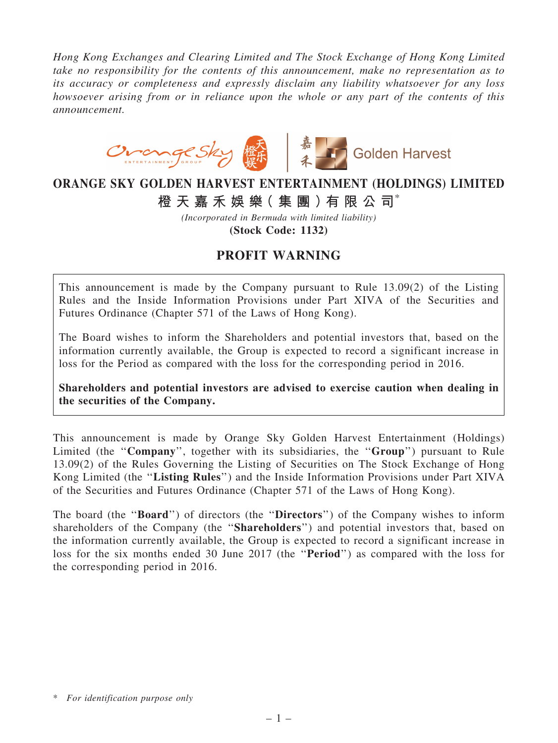*Hong Kong Exchanges and Clearing Limited and The Stock Exchange of Hong Kong Limited take no responsibility for the contents of this announcement, make no representation as to its accuracy or completeness and expressly disclaim any liability whatsoever for any loss howsoever arising from or in reliance upon the whole or any part of the contents of this announcement.*



## ORANGE SKY GOLDEN HARVEST ENTERTAINMENT (HOLDINGS) LIMITED

橙 天 嘉 禾 娛 樂 (集 團 ) 有 限 公 司 $^*$ 

*(Incorporated in Bermuda with limited liability)* (Stock Code: 1132)

## PROFIT WARNING

This announcement is made by the Company pursuant to Rule 13.09(2) of the Listing Rules and the Inside Information Provisions under Part XIVA of the Securities and Futures Ordinance (Chapter 571 of the Laws of Hong Kong).

The Board wishes to inform the Shareholders and potential investors that, based on the information currently available, the Group is expected to record a significant increase in loss for the Period as compared with the loss for the corresponding period in 2016.

Shareholders and potential investors are advised to exercise caution when dealing in the securities of the Company.

This announcement is made by Orange Sky Golden Harvest Entertainment (Holdings) Limited (the "Company", together with its subsidiaries, the "Group") pursuant to Rule 13.09(2) of the Rules Governing the Listing of Securities on The Stock Exchange of Hong Kong Limited (the "Listing Rules") and the Inside Information Provisions under Part XIVA of the Securities and Futures Ordinance (Chapter 571 of the Laws of Hong Kong).

The board (the "Board") of directors (the "Directors") of the Company wishes to inform shareholders of the Company (the "Shareholders") and potential investors that, based on the information currently available, the Group is expected to record a significant increase in loss for the six months ended 30 June 2017 (the ''Period'') as compared with the loss for the corresponding period in 2016.

<sup>\*</sup> *For identification purpose only*